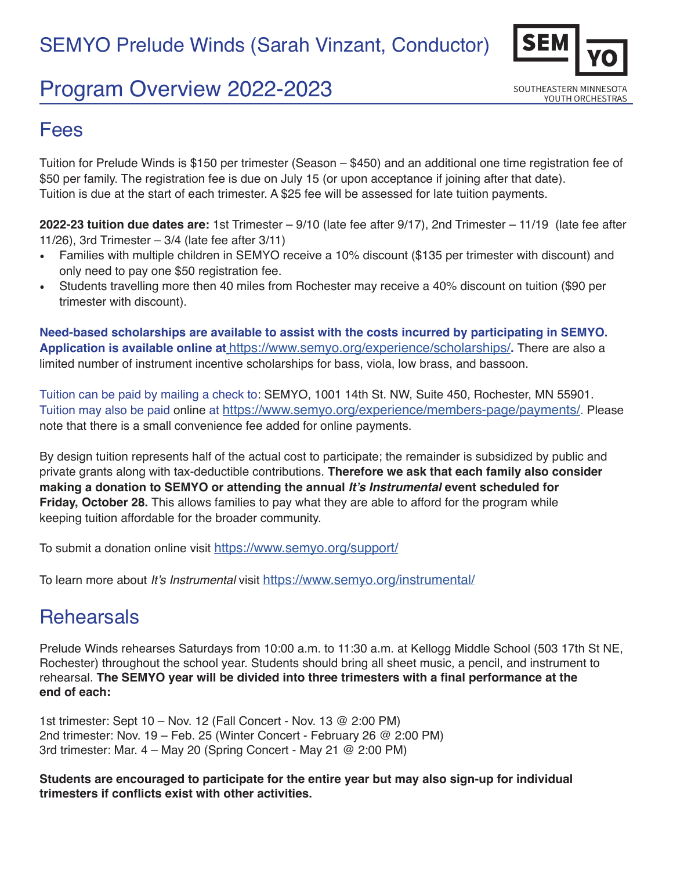# Program Overview 2022-2023



### Fees

Tuition for Prelude Winds is \$150 per trimester (Season – \$450) and an additional one time registration fee of \$50 per family. The registration fee is due on July 15 (or upon acceptance if joining after that date). Tuition is due at the start of each trimester. A \$25 fee will be assessed for late tuition payments.

**2022-23 tuition due dates are:** 1st Trimester – 9/10 (late fee after 9/17), 2nd Trimester – 11/19 (late fee after 11/26), 3rd Trimester  $-3/4$  (late fee after  $3/11$ )

- Families with multiple children in SEMYO receive a 10% discount (\$135 per trimester with discount) and only need to pay one \$50 registration fee.
- Students travelling more then 40 miles from Rochester may receive a 40% discount on tuition (\$90 per trimester with discount).

**Need-based scholarships are available to assist with the costs incurred by participating in SEMYO. Application is available online at** https://www.semyo.org/experience/scholarships/**.** There are also a limited number of instrument incentive scholarships for bass, viola, low brass, and bassoon.

Tuition can be paid by mailing a check to: SEMYO, 1001 14th St. NW, Suite 450, Rochester, MN 55901. Tuition may also be paid online at https://www.semyo.org/experience/members-page/payments/. Please note that there is a small convenience fee added for online payments.

By design tuition represents half of the actual cost to participate; the remainder is subsidized by public and private grants along with tax-deductible contributions. **Therefore we ask that each family also consider making a donation to SEMYO or attending the annual It's Instrumental event scheduled for Friday, October 28.** This allows families to pay what they are able to afford for the program while keeping tuition affordable for the broader community.

To submit a donation online visit https://www.semyo.org/support/

To learn more about It's Instrumental visit https://www.semyo.org/instrumental/

## **Rehearsals**

Prelude Winds rehearses Saturdays from 10:00 a.m. to 11:30 a.m. at Kellogg Middle School (503 17th St NE, Rochester) throughout the school year. Students should bring all sheet music, a pencil, and instrument to rehearsal. **The SEMYO year will be divided into three trimesters with a final performance at the end of each:** 

1st trimester: Sept 10 – Nov. 12 (Fall Concert - Nov. 13 @ 2:00 PM) 2nd trimester: Nov. 19 – Feb. 25 (Winter Concert - February 26 @ 2:00 PM) 3rd trimester: Mar. 4 – May 20 (Spring Concert - May 21 @ 2:00 PM)

**Students are encouraged to participate for the entire year but may also sign-up for individual trimesters if conflicts exist with other activities.**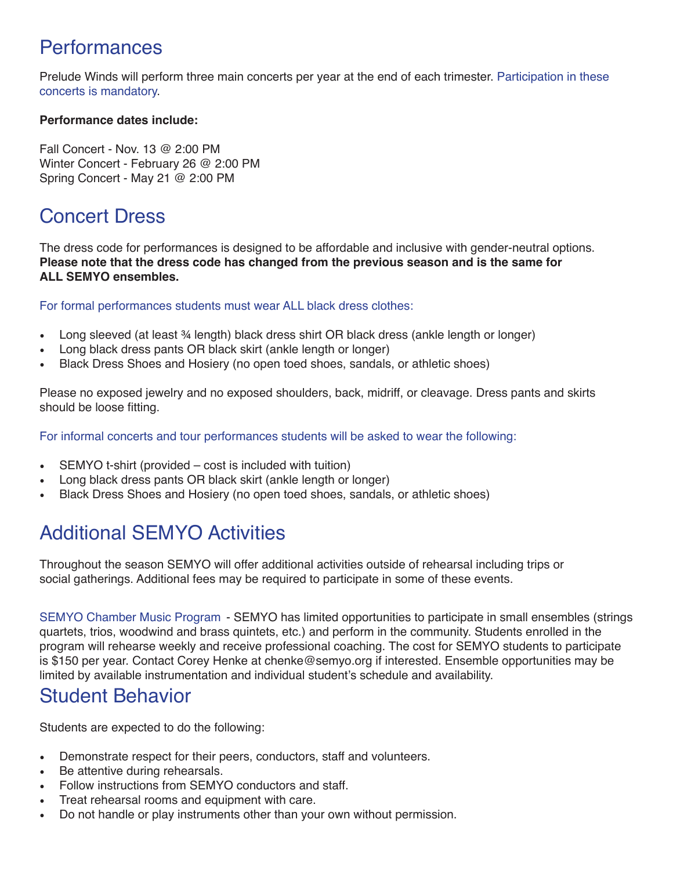### Performances

Prelude Winds will perform three main concerts per year at the end of each trimester. Participation in these concerts is mandatory.

### **Performance dates include:**

Fall Concert - Nov. 13 @ 2:00 PM Winter Concert - February 26 @ 2:00 PM Spring Concert - May 21 @ 2:00 PM

## Concert Dress

The dress code for performances is designed to be affordable and inclusive with gender-neutral options. **Please note that the dress code has changed from the previous season and is the same for ALL SEMYO ensembles.** 

For formal performances students must wear ALL black dress clothes:

- Long sleeved (at least ¾ length) black dress shirt OR black dress (ankle length or longer)
- Long black dress pants OR black skirt (ankle length or longer)
- Black Dress Shoes and Hosiery (no open toed shoes, sandals, or athletic shoes)

Please no exposed jewelry and no exposed shoulders, back, midriff, or cleavage. Dress pants and skirts should be loose fitting.

For informal concerts and tour performances students will be asked to wear the following:

- SEMYO t-shirt (provided cost is included with tuition)
- Long black dress pants OR black skirt (ankle length or longer)
- Black Dress Shoes and Hosiery (no open toed shoes, sandals, or athletic shoes)

## Additional SEMYO Activities

Throughout the season SEMYO will offer additional activities outside of rehearsal including trips or social gatherings. Additional fees may be required to participate in some of these events.

SEMYO Chamber Music Program - SEMYO has limited opportunities to participate in small ensembles (strings quartets, trios, woodwind and brass quintets, etc.) and perform in the community. Students enrolled in the program will rehearse weekly and receive professional coaching. The cost for SEMYO students to participate is \$150 per year. Contact Corey Henke at chenke@semyo.org if interested. Ensemble opportunities may be limited by available instrumentation and individual student's schedule and availability.

### Student Behavior

Students are expected to do the following:

- Demonstrate respect for their peers, conductors, staff and volunteers.
- Be attentive during rehearsals.
- Follow instructions from SEMYO conductors and staff.
- Treat rehearsal rooms and equipment with care.
- Do not handle or play instruments other than your own without permission.